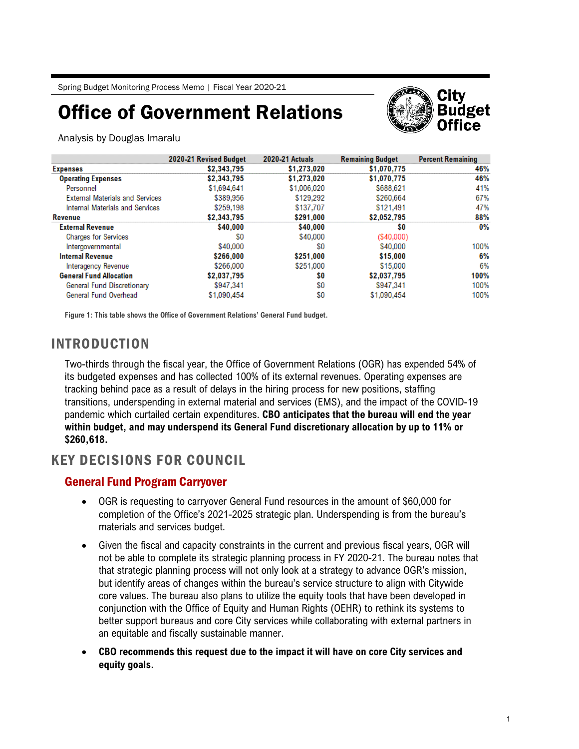# Office of Government Relations



Analysis by Douglas Imaralu

|                                        | 2020-21 Revised Budget | <b>2020-21 Actuals</b> | <b>Remaining Budget</b> | <b>Percent Remaining</b> |
|----------------------------------------|------------------------|------------------------|-------------------------|--------------------------|
| <b>Expenses</b>                        | \$2,343,795            | \$1,273,020            | \$1,070,775             | 46%                      |
| <b>Operating Expenses</b>              | \$2,343,795            | \$1,273,020            | \$1,070,775             | 46%                      |
| Personnel                              | \$1,694,641            | \$1,006,020            | \$688,621               | 41%                      |
| <b>External Materials and Services</b> | \$389,956              | \$129,292              | \$260,664               | 67%                      |
| Internal Materials and Services        | \$259,198              | \$137,707              | \$121,491               | 47%                      |
| <b>Revenue</b>                         | \$2,343,795            | \$291,000              | \$2,052,795             | 88%                      |
| <b>External Revenue</b>                | \$40,000               | \$40,000               | \$0                     | 0%                       |
| <b>Charges for Services</b>            | S0                     | \$40,000               | (S40,000)               |                          |
| Intergovernmental                      | \$40,000               | S0                     | \$40,000                | 100%                     |
| <b>Internal Revenue</b>                | \$266,000              | \$251,000              | \$15,000                | 6%                       |
| Interagency Revenue                    | \$266,000              | \$251,000              | \$15,000                | 6%                       |
| <b>General Fund Allocation</b>         | \$2,037,795            | S0                     | \$2,037,795             | 100%                     |
| General Fund Discretionary             | \$947,341              | SO.                    | \$947,341               | 100%                     |
| General Fund Overhead                  | \$1,090,454            | \$0                    | \$1,090,454             | 100%                     |

**Figure 1: This table shows the Office of Government Relations' General Fund budget.** 

# INTRODUCTION

Two-thirds through the fiscal year, the Office of Government Relations (OGR) has expended 54% of its budgeted expenses and has collected 100% of its external revenues. Operating expenses are tracking behind pace as a result of delays in the hiring process for new positions, staffing transitions, underspending in external material and services (EMS), and the impact of the COVID-19 pandemic which curtailed certain expenditures. **CBO anticipates that the bureau will end the year within budget, and may underspend its General Fund discretionary allocation by up to 11% or \$260,618.** 

## KEY DECISIONS FOR COUNCIL

### General Fund Program Carryover

- OGR is requesting to carryover General Fund resources in the amount of \$60,000 for completion of the Office's 2021-2025 strategic plan. Underspending is from the bureau's materials and services budget.
- Given the fiscal and capacity constraints in the current and previous fiscal years, OGR will not be able to complete its strategic planning process in FY 2020-21. The bureau notes that that strategic planning process will not only look at a strategy to advance OGR's mission, but identify areas of changes within the bureau's service structure to align with Citywide core values. The bureau also plans to utilize the equity tools that have been developed in conjunction with the Office of Equity and Human Rights (OEHR) to rethink its systems to better support bureaus and core City services while collaborating with external partners in an equitable and fiscally sustainable manner.
- **CBO recommends this request due to the impact it will have on core City services and equity goals.**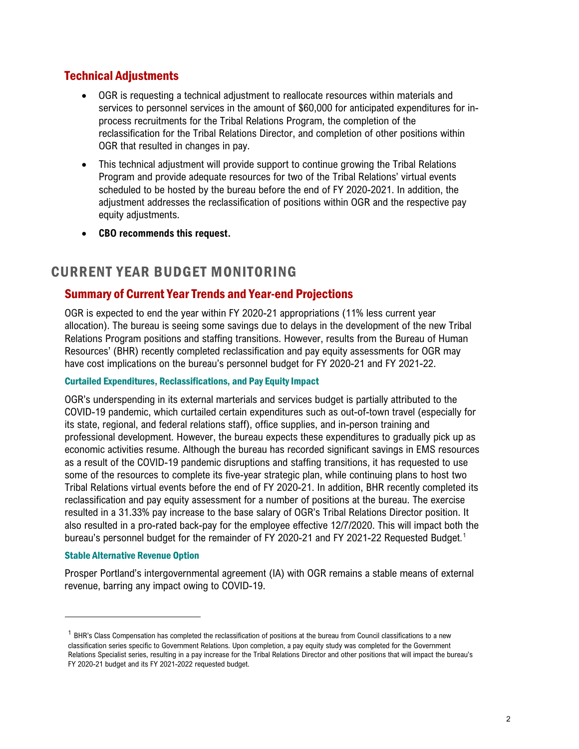### Technical Adjustments

- OGR is requesting a technical adjustment to reallocate resources within materials and services to personnel services in the amount of \$60,000 for anticipated expenditures for inprocess recruitments for the Tribal Relations Program, the completion of the reclassification for the Tribal Relations Director, and completion of other positions within OGR that resulted in changes in pay.
- This technical adjustment will provide support to continue growing the Tribal Relations Program and provide adequate resources for two of the Tribal Relations' virtual events scheduled to be hosted by the bureau before the end of FY 2020-2021. In addition, the adjustment addresses the reclassification of positions within OGR and the respective pay equity adjustments.
- **CBO recommends this request.**

### CURRENT YEAR BUDGET MONITORING

#### Summary of Current Year Trends and Year-end Projections

OGR is expected to end the year within FY 2020-21 appropriations (11% less current year allocation). The bureau is seeing some savings due to delays in the development of the new Tribal Relations Program positions and staffing transitions. However, results from the Bureau of Human Resources' (BHR) recently completed reclassification and pay equity assessments for OGR may have cost implications on the bureau's personnel budget for FY 2020-21 and FY 2021-22.

#### Curtailed Expenditures, Reclassifications, and Pay Equity Impact

OGR's underspending in its external marterials and services budget is partially attributed to the COVID-19 pandemic, which curtailed certain expenditures such as out-of-town travel (especially for its state, regional, and federal relations staff), office supplies, and in-person training and professional development. However, the bureau expects these expenditures to gradually pick up as economic activities resume. Although the bureau has recorded significant savings in EMS resources as a result of the COVID-19 pandemic disruptions and staffing transitions, it has requested to use some of the resources to complete its five-year strategic plan, while continuing plans to host two Tribal Relations virtual events before the end of FY 2020-21. In addition, BHR recently completed its reclassification and pay equity assessment for a number of positions at the bureau. The exercise resulted in a 31.33% pay increase to the base salary of OGR's Tribal Relations Director position. It also resulted in a pro-rated back-pay for the employee effective 12/7/2020. This will impact both the bureau's personnel budget for the remainder of FY 2020-21 and FY 2021-22 Requested Budget. [1](#page-1-0)

#### Stable Alternative Revenue Option

Prosper Portland's intergovernmental agreement (IA) with OGR remains a stable means of external revenue, barring any impact owing to COVID-19.

<span id="page-1-0"></span> $1$  BHR's Class Compensation has completed the reclassification of positions at the bureau from Council classifications to a new classification series specific to Government Relations. Upon completion, a pay equity study was completed for the Government Relations Specialist series, resulting in a pay increase for the Tribal Relations Director and other positions that will impact the bureau's FY 2020-21 budget and its FY 2021-2022 requested budget.